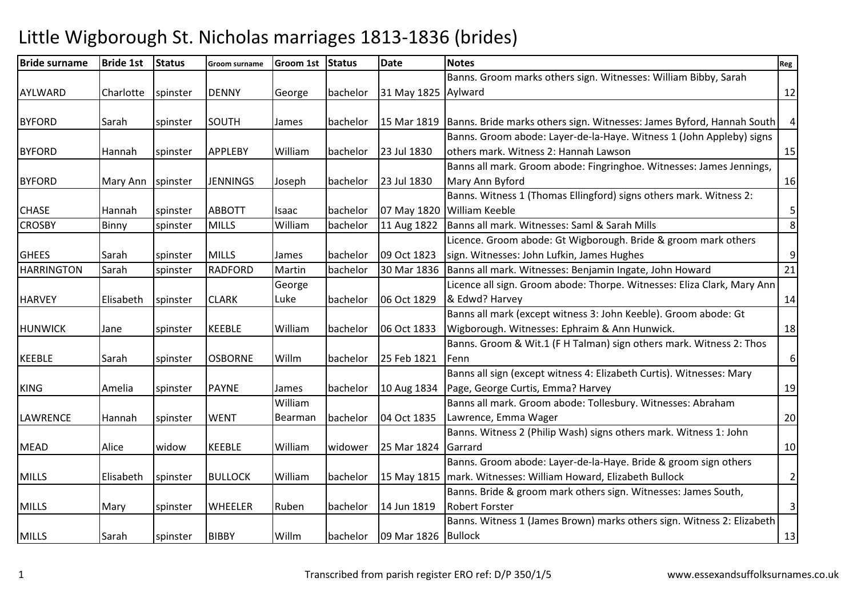## Little Wigborough St. Nicholas marriages 1813-1836 (brides)

| <b>Bride surname</b> | <b>Bride 1st</b> | <b>Status</b> | Groom surname   | Groom 1st Status |          | <b>Date</b>         | <b>Notes</b>                                                            | Reg              |
|----------------------|------------------|---------------|-----------------|------------------|----------|---------------------|-------------------------------------------------------------------------|------------------|
|                      |                  |               |                 |                  |          |                     | Banns. Groom marks others sign. Witnesses: William Bibby, Sarah         |                  |
| AYLWARD              | Charlotte        | spinster      | <b>DENNY</b>    | George           | bachelor | 31 May 1825 Aylward |                                                                         | 12               |
|                      |                  |               |                 |                  |          |                     |                                                                         |                  |
| <b>BYFORD</b>        | Sarah            | spinster      | SOUTH           | James            | bachelor | 15 Mar 1819         | Banns. Bride marks others sign. Witnesses: James Byford, Hannah South   | $\overline{4}$   |
|                      |                  |               |                 |                  |          |                     | Banns. Groom abode: Layer-de-la-Haye. Witness 1 (John Appleby) signs    |                  |
| <b>BYFORD</b>        | Hannah           | spinster      | <b>APPLEBY</b>  | William          | bachelor | 23 Jul 1830         | others mark. Witness 2: Hannah Lawson                                   | 15               |
|                      |                  |               |                 |                  |          |                     | Banns all mark. Groom abode: Fingringhoe. Witnesses: James Jennings,    |                  |
| <b>BYFORD</b>        | Mary Ann         | spinster      | <b>JENNINGS</b> | Joseph           | bachelor | 23 Jul 1830         | Mary Ann Byford                                                         | 16               |
|                      |                  |               |                 |                  |          |                     | Banns. Witness 1 (Thomas Ellingford) signs others mark. Witness 2:      |                  |
| <b>CHASE</b>         | Hannah           | spinster      | <b>ABBOTT</b>   | Isaac            | bachelor | 07 May 1820         | <b>William Keeble</b>                                                   | 5                |
| <b>CROSBY</b>        | Binny            | spinster      | <b>MILLS</b>    | William          | bachelor | 11 Aug 1822         | Banns all mark. Witnesses: Saml & Sarah Mills                           | 8                |
|                      |                  |               |                 |                  |          |                     | Licence. Groom abode: Gt Wigborough. Bride & groom mark others          |                  |
| <b>GHEES</b>         | Sarah            | spinster      | <b>MILLS</b>    | James            | bachelor | 09 Oct 1823         | sign. Witnesses: John Lufkin, James Hughes                              | $\boldsymbol{9}$ |
| <b>HARRINGTON</b>    | Sarah            | spinster      | <b>RADFORD</b>  | Martin           | bachelor | 30 Mar 1836         | Banns all mark. Witnesses: Benjamin Ingate, John Howard                 | 21               |
|                      |                  |               |                 | George           |          |                     | Licence all sign. Groom abode: Thorpe. Witnesses: Eliza Clark, Mary Ann |                  |
| <b>HARVEY</b>        | Elisabeth        | spinster      | <b>CLARK</b>    | Luke             | bachelor | 06 Oct 1829         | & Edwd? Harvey                                                          | 14               |
|                      |                  |               |                 |                  |          |                     | Banns all mark (except witness 3: John Keeble). Groom abode: Gt         |                  |
| <b>HUNWICK</b>       | Jane             | spinster      | <b>KEEBLE</b>   | William          | bachelor | 06 Oct 1833         | Wigborough. Witnesses: Ephraim & Ann Hunwick.                           | 18               |
|                      |                  |               |                 |                  |          |                     | Banns. Groom & Wit.1 (F H Talman) sign others mark. Witness 2: Thos     |                  |
| <b>KEEBLE</b>        | Sarah            | spinster      | <b>OSBORNE</b>  | Willm            | bachelor | 25 Feb 1821         | Fenn                                                                    | $\boldsymbol{6}$ |
|                      |                  |               |                 |                  |          |                     | Banns all sign (except witness 4: Elizabeth Curtis). Witnesses: Mary    |                  |
| <b>KING</b>          | Amelia           | spinster      | <b>PAYNE</b>    | James            | bachelor | 10 Aug 1834         | Page, George Curtis, Emma? Harvey                                       | 19               |
|                      |                  |               |                 | William          |          |                     | Banns all mark. Groom abode: Tollesbury. Witnesses: Abraham             |                  |
| <b>LAWRENCE</b>      | Hannah           | spinster      | <b>WENT</b>     | Bearman          | bachelor | 04 Oct 1835         | Lawrence, Emma Wager                                                    | 20               |
|                      |                  |               |                 |                  |          |                     | Banns. Witness 2 (Philip Wash) signs others mark. Witness 1: John       |                  |
| <b>MEAD</b>          | Alice            | widow         | <b>KEEBLE</b>   | William          | widower  | 25 Mar 1824         | <b>I</b> Garrard                                                        | 10               |
|                      |                  |               |                 |                  |          |                     | Banns. Groom abode: Layer-de-la-Haye. Bride & groom sign others         |                  |
| <b>MILLS</b>         | Elisabeth        | spinster      | <b>BULLOCK</b>  | William          | bachelor |                     | 15 May 1815   mark. Witnesses: William Howard, Elizabeth Bullock        | $\overline{2}$   |
|                      |                  |               |                 |                  |          |                     | Banns. Bride & groom mark others sign. Witnesses: James South,          |                  |
| <b>MILLS</b>         | Mary             | spinster      | WHEELER         | Ruben            | bachelor | 14 Jun 1819         | <b>Robert Forster</b>                                                   | 3                |
|                      |                  |               |                 |                  |          |                     | Banns. Witness 1 (James Brown) marks others sign. Witness 2: Elizabeth  |                  |
| <b>MILLS</b>         | Sarah            | spinster      | <b>BIBBY</b>    | Willm            | bachelor | 09 Mar 1826 Bullock |                                                                         | 13               |